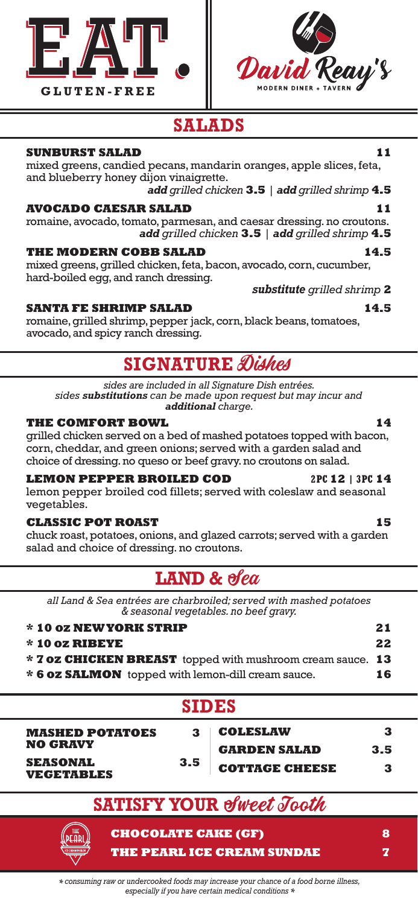



## **SALADS**

## **SUNBURST SALAD** 11

mixed greens, candied pecans, mandarin oranges, apple slices, feta, and blueberry honey dijon vinaigrette.

*add grilled chicken* **3.5** *| add grilled shrimp* **4.5**

## **AVOCADO CAESAR SALAD 11**

romaine, avocado, tomato, parmesan, and caesar dressing. no croutons. *add grilled chicken* **3.5** *| add grilled shrimp* **4.5**

## THE MODERN COBB SALAD 14.5

mixed greens, grilled chicken, feta, bacon, avocado, corn, cucumber, hard-boiled egg, and ranch dressing.

## **SANTA FE SHRIMP SALAD 14.5**

romaine, grilled shrimp, pepper jack, corn, black beans, tomatoes, avocado, and spicy ranch dressing.

## **SIGNATURE** Dishes

*sides are included in all Signature Dish entrées. sides substitutions can be made upon request but may incur and additional charge.*

## **THE COMFORT BOWL 14**

grilled chicken served on a bed of mashed potatoes topped with bacon, corn, cheddar, and green onions; served with a garden salad and choice of dressing. no queso or beef gravy. no croutons on salad.

## **LEMON PEPPER BROILED COD 2PC 12 | 3PC 14**

lemon pepper broiled cod fillets; served with coleslaw and seasonal vegetables.

## **CLASSIC POT ROAST 15**

chuck roast, potatoes, onions, and glazed carrots; served with a garden salad and choice of dressing. no croutons.

## **LAND & Sea**

*all Land & Sea entrées are charbroiled; served with mashed potatoes & seasonal vegetables. no beef gravy.* 

| * 10 oz NEW YORK STRIP                                     | 21 |
|------------------------------------------------------------|----|
| $*$ 10 oz RIBEYE                                           | 22 |
| * 7 oz CHICKEN BREAST topped with mushroom cream sauce. 13 |    |
| * 6 oz SALMON topped with lemon-dill cream sauce.          | 16 |
|                                                            |    |

| <b>MASHED POTATOES</b> | З |
|------------------------|---|
| <b>NO GRAVY</b>        |   |
|                        |   |

| SEASONAL   | 3.5 |
|------------|-----|
| VEGETABLES |     |

| 3  | <b>COLESLAW</b>       |     |
|----|-----------------------|-----|
|    | <b>GARDEN SALAD</b>   | 3.5 |
| .5 | <b>COTTAGE CHEESE</b> | 3   |

# **SATISFY YOUR of Weet Tooth**

**CHOCOLATE CAKE (GF) 8 THE PEARL ICE CREAM SUNDAE 7**

# *substitute grilled shrimp* **2**